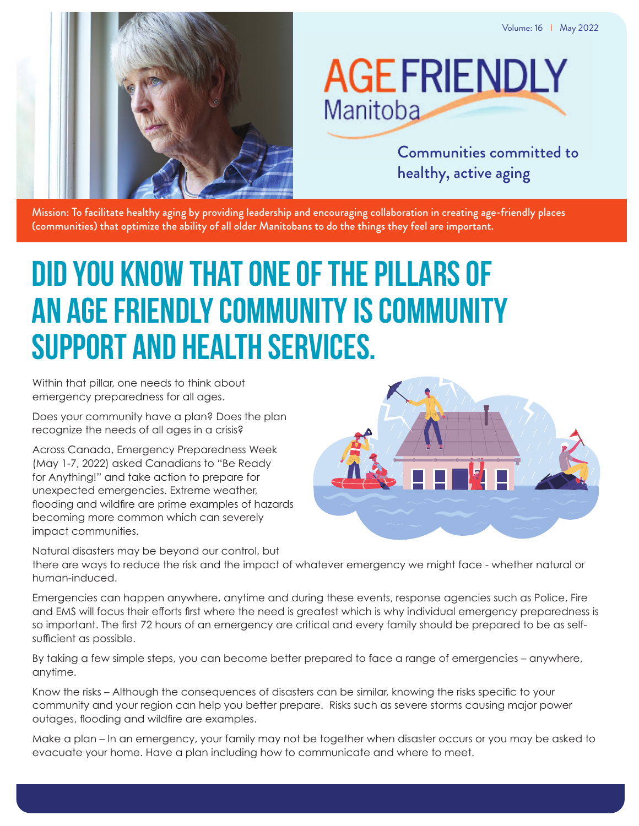

# **AGEFRIENDLY** Manitoba

Communities committed to healthy, active aging

Mission: To facilitate healthy aging by providing leadership and encouraging collaboration in creating age-friendly places (communities) that optimize the ability of all older Manitobans to do the things they feel are important.

# **Did you know that one of the pillars of an Age Friendly community is Community Support and Health Services.**

Within that pillar, one needs to think about emergency preparedness for all ages.

Does your community have a plan? Does the plan recognize the needs of all ages in a crisis?

Across Canada, Emergency Preparedness Week (May 1-7, 2022) asked Canadians to "Be Ready for Anything!" and take action to prepare for unexpected emergencies. Extreme weather, flooding and wildfire are prime examples of hazards becoming more common which can severely impact communities.

Natural disasters may be beyond our control, but



there are ways to reduce the risk and the impact of whatever emergency we might face - whether natural or human-induced.

Emergencies can happen anywhere, anytime and during these events, response agencies such as Police, Fire and EMS will focus their efforts first where the need is greatest which is why individual emergency preparedness is so important. The first 72 hours of an emergency are critical and every family should be prepared to be as selfsufficient as possible.

By taking a few simple steps, you can become better prepared to face a range of emergencies – anywhere, anytime.

Know the risks – Although the consequences of disasters can be similar, knowing the risks specific to your community and your region can help you better prepare. Risks such as severe storms causing major power outages, flooding and wildfire are examples.

Make a plan – In an emergency, your family may not be together when disaster occurs or you may be asked to evacuate your home. Have a plan including how to communicate and where to meet.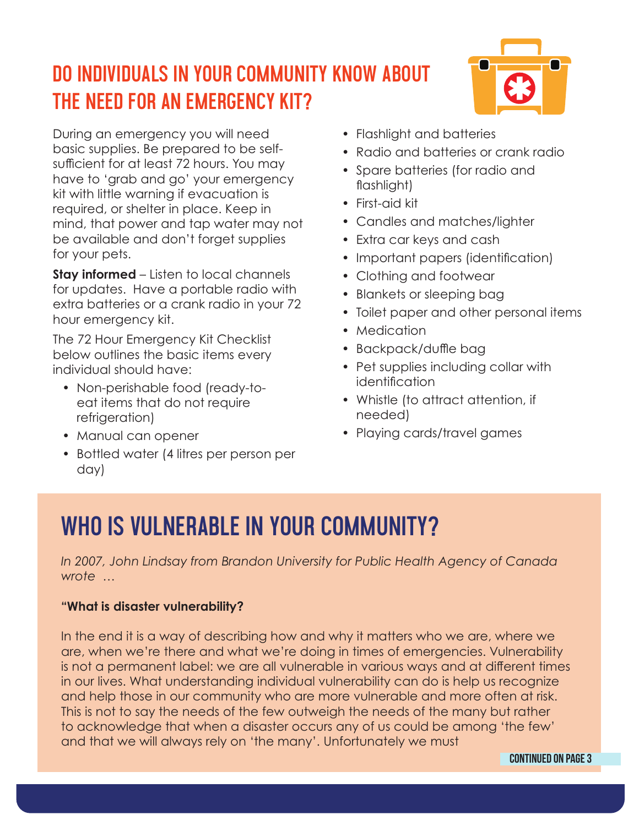### **Do individuals in your community know about the need for an emergency kit?**

During an emergency you will need basic supplies. Be prepared to be selfsufficient for at least 72 hours. You may have to 'grab and go' your emergency kit with little warning if evacuation is required, or shelter in place. Keep in mind, that power and tap water may not be available and don't forget supplies for your pets.

**Stay informed** – Listen to local channels for updates. Have a portable radio with extra batteries or a crank radio in your 72 hour emergency kit.

The 72 Hour Emergency Kit Checklist below outlines the basic items every individual should have:

- Non-perishable food (ready-toeat items that do not require refrigeration)
- Manual can opener
- Bottled water (4 litres per person per day)
- Flashlight and batteries
- Radio and batteries or crank radio
- Spare batteries (for radio and flashlight)
- First-aid kit
- Candles and matches/lighter
- Extra car keys and cash
- Important papers (identification)
- Clothing and footwear
- Blankets or sleeping bag
- Toilet paper and other personal items
- Medication
- Backpack/duffle bag
- Pet supplies including collar with identification
- Whistle (to attract attention, if needed)
- Playing cards/travel games

## **Who is vulnerable in your Community?**

*In 2007, John Lindsay from Brandon University for Public Health Agency of Canada wrote …*

#### **"What is disaster vulnerability?**

In the end it is a way of describing how and why it matters who we are, where we are, when we're there and what we're doing in times of emergencies. Vulnerability is not a permanent label: we are all vulnerable in various ways and at different times in our lives. What understanding individual vulnerability can do is help us recognize and help those in our community who are more vulnerable and more often at risk. This is not to say the needs of the few outweigh the needs of the many but rather to acknowledge that when a disaster occurs any of us could be among 'the few' and that we will always rely on 'the many'. Unfortunately we must

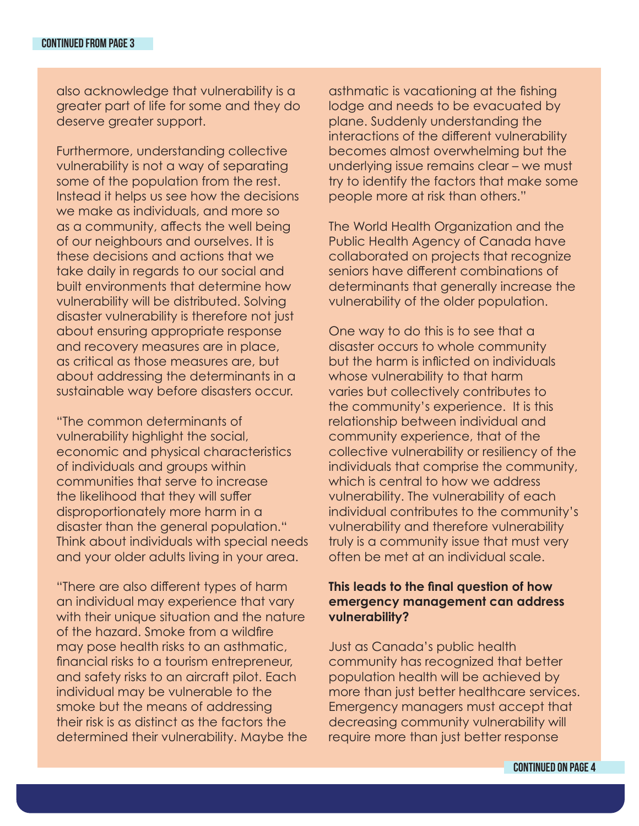also acknowledge that vulnerability is a greater part of life for some and they do deserve greater support.

Furthermore, understanding collective vulnerability is not a way of separating some of the population from the rest. Instead it helps us see how the decisions we make as individuals, and more so as a community, affects the well being of our neighbours and ourselves. It is these decisions and actions that we take daily in regards to our social and built environments that determine how vulnerability will be distributed. Solving disaster vulnerability is therefore not just about ensuring appropriate response and recovery measures are in place, as critical as those measures are, but about addressing the determinants in a sustainable way before disasters occur.

"The common determinants of vulnerability highlight the social, economic and physical characteristics of individuals and groups within communities that serve to increase the likelihood that they will suffer disproportionately more harm in a disaster than the general population." Think about individuals with special needs and your older adults living in your area.

"There are also different types of harm an individual may experience that vary with their unique situation and the nature of the hazard. Smoke from a wildfire may pose health risks to an asthmatic, financial risks to a tourism entrepreneur, and safety risks to an aircraft pilot. Each individual may be vulnerable to the smoke but the means of addressing their risk is as distinct as the factors the determined their vulnerability. Maybe the asthmatic is vacationing at the fishing lodge and needs to be evacuated by plane. Suddenly understanding the interactions of the different vulnerability becomes almost overwhelming but the underlying issue remains clear – we must try to identify the factors that make some people more at risk than others."

The World Health Organization and the Public Health Agency of Canada have collaborated on projects that recognize seniors have different combinations of determinants that generally increase the vulnerability of the older population.

One way to do this is to see that a disaster occurs to whole community but the harm is inflicted on individuals whose vulnerability to that harm varies but collectively contributes to the community's experience. It is this relationship between individual and community experience, that of the collective vulnerability or resiliency of the individuals that comprise the community, which is central to how we address vulnerability. The vulnerability of each individual contributes to the community's vulnerability and therefore vulnerability truly is a community issue that must very often be met at an individual scale.

#### **This leads to the final question of how emergency management can address vulnerability?**

Just as Canada's public health community has recognized that better population health will be achieved by more than just better healthcare services. Emergency managers must accept that decreasing community vulnerability will require more than just better response